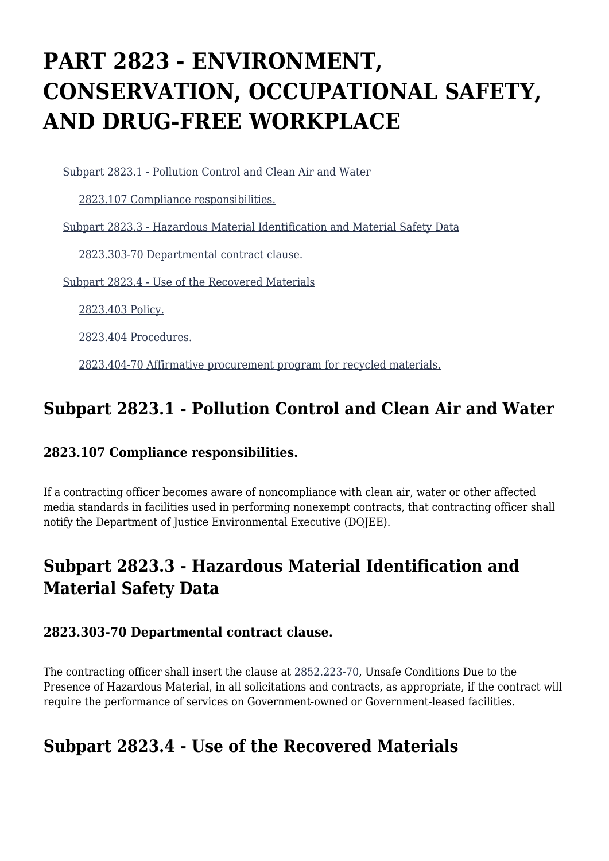# **PART 2823 - ENVIRONMENT, CONSERVATION, OCCUPATIONAL SAFETY, AND DRUG-FREE WORKPLACE**

[Subpart 2823.1 - Pollution Control and Clean Air and Water](https://login.acquisition.gov/%5Brp:link:jar-part-2823%5D#Subpart_2823_1_T48_601163201)

[2823.107 Compliance responsibilities.](https://login.acquisition.gov/%5Brp:link:jar-part-2823%5D#Section_2823_107_T48_60116320111)

[Subpart 2823.3 - Hazardous Material Identification and Material Safety Data](https://login.acquisition.gov/%5Brp:link:jar-part-2823%5D#Subpart_2823_3_T48_601163202)

[2823.303-70 Departmental contract clause.](https://login.acquisition.gov/%5Brp:link:jar-part-2823%5D#Section_2823_303_70_T48_60116320211)

[Subpart 2823.4 - Use of the Recovered Materials](https://login.acquisition.gov/%5Brp:link:jar-part-2823%5D#Subpart_2823_4_T48_601163203)

[2823.403 Policy.](https://login.acquisition.gov/%5Brp:link:jar-part-2823%5D#Section_2823_403_T48_60116320311)

[2823.404 Procedures.](https://login.acquisition.gov/%5Brp:link:jar-part-2823%5D#Section_2823_404_T48_60116320312)

[2823.404-70 Affirmative procurement program for recycled materials.](https://login.acquisition.gov/%5Brp:link:jar-part-2823%5D#Section_2823_404_70_T48_60116320313)

## **Subpart 2823.1 - Pollution Control and Clean Air and Water**

#### **2823.107 Compliance responsibilities.**

If a contracting officer becomes aware of noncompliance with clean air, water or other affected media standards in facilities used in performing nonexempt contracts, that contracting officer shall notify the Department of Justice Environmental Executive (DOJEE).

# **Subpart 2823.3 - Hazardous Material Identification and Material Safety Data**

#### **2823.303-70 Departmental contract clause.**

The contracting officer shall insert the clause at [2852.223-70,](https://login.acquisition.gov/%5Brp:link:jar-part-2852%5D#Section_2852_223_70_T48_60116733213) Unsafe Conditions Due to the Presence of Hazardous Material, in all solicitations and contracts, as appropriate, if the contract will require the performance of services on Government-owned or Government-leased facilities.

## **Subpart 2823.4 - Use of the Recovered Materials**